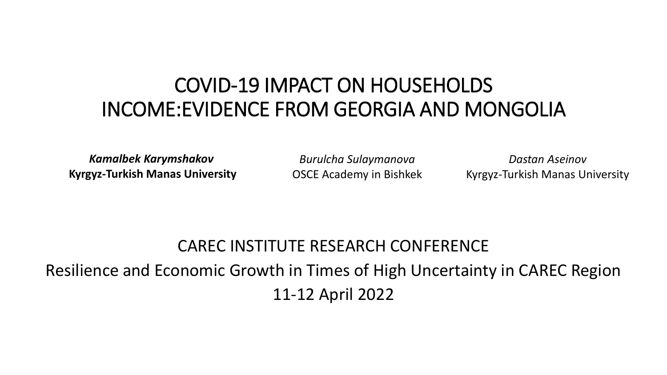#### COVID-19 IMPACT ON HOUSEHOLDS INCOME:EVIDENCE FROM GEORGIA AND MONGOLIA

*Kamalbek Karymshakov* **Kyrgyz-Turkish Manas University**

*Burulcha Sulaymanova* OSCE Academy in Bishkek

*Dastan Aseinov* Kyrgyz-Turkish Manas University

#### CAREC INSTITUTE RESEARCH CONFERENCE Resilience and Economic Growth in Times of High Uncertainty in CAREC Region 11-12 April 2022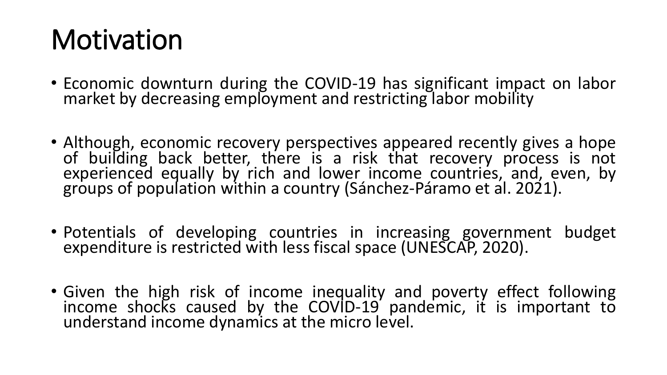# **Motivation**

- Economic downturn during the COVID-19 has significant impact on labor market by decreasing employment and restricting labor mobility
- Although, economic recovery perspectives appeared recently gives a hope of building back better, there is a risk that recovery process is not experienced equally by rich and lower income countries, and, even, by groups of population within a country (Sánchez-Páramo et al. 2021).
- Potentials of developing countries in increasing government budget expenditure is restricted with less fiscal space (UNESCAP, 2020).
- Given the high risk of income inequality and poverty effect following income shocks caused by the COVID-19 pandemic, it is important to understand income dynamics at the micro level.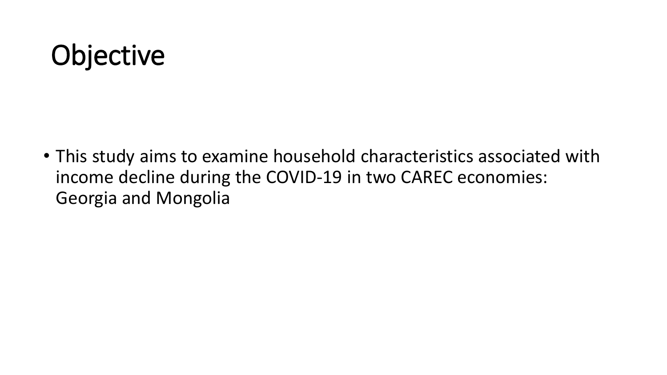# **Objective**

• This study aims to examine household characteristics associated with income decline during the COVID-19 in two CAREC economies: Georgia and Mongolia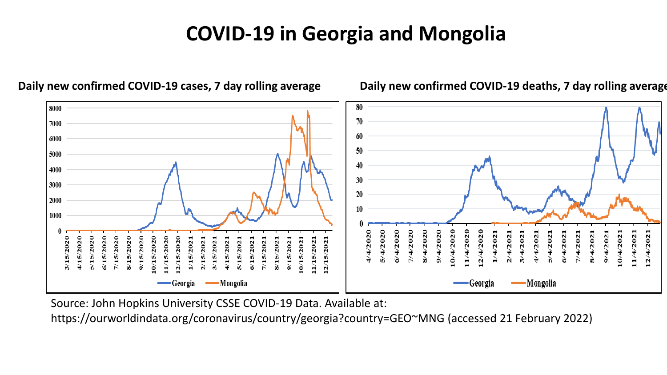#### **COVID-19 in Georgia and Mongolia**



**Daily new confirmed COVID-19 cases, 7 day rolling average Daily new confirmed COVID-19 deaths, 7 day rolling average**

Source: John Hopkins University CSSE COVID-19 Data. Available at:

https://ourworldindata.org/coronavirus/country/georgia?country=GEO~MNG (accessed 21 February 2022)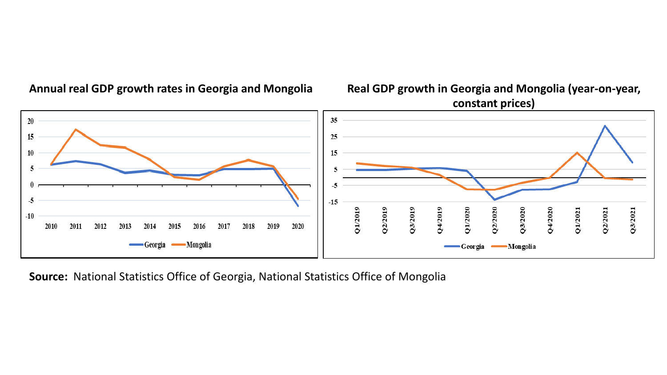

**Annual real GDP growth rates in Georgia and Mongolia Real GDP growth in Georgia and Mongolia (year-on-year, constant prices)**



**Source:** National Statistics Office of Georgia, National Statistics Office of Mongolia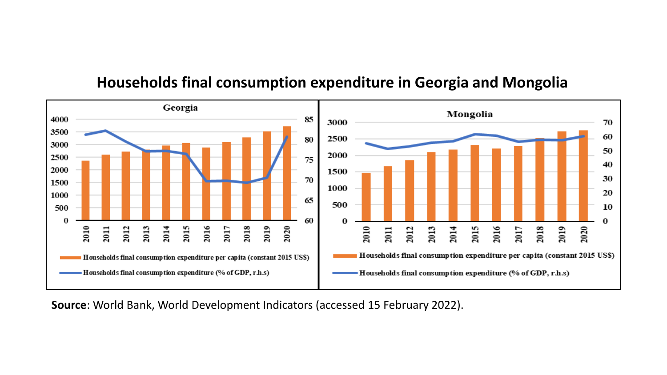

#### **Households final consumption expenditure in Georgia and Mongolia**

**Source**: World Bank, World Development Indicators (accessed 15 February 2022).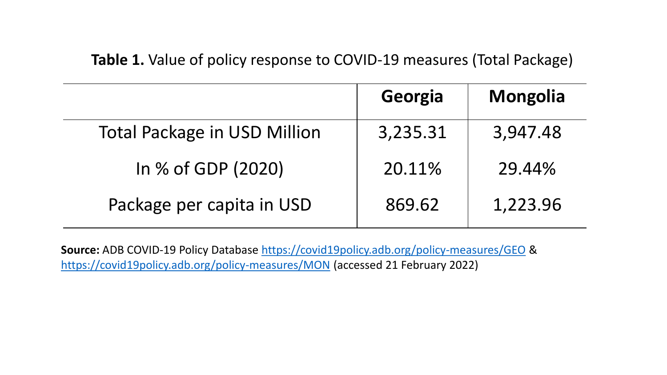**Table 1.** Value of policy response to COVID-19 measures (Total Package)

|                                     | Georgia  | <b>Mongolia</b> |
|-------------------------------------|----------|-----------------|
| <b>Total Package in USD Million</b> | 3,235.31 | 3,947.48        |
| In % of GDP (2020)                  | 20.11%   | 29.44%          |
| Package per capita in USD           | 869.62   | 1,223.96        |

**Source:** ADB COVID-19 Policy Database<https://covid19policy.adb.org/policy-measures/GEO> & <https://covid19policy.adb.org/policy-measures/MON> (accessed 21 February 2022)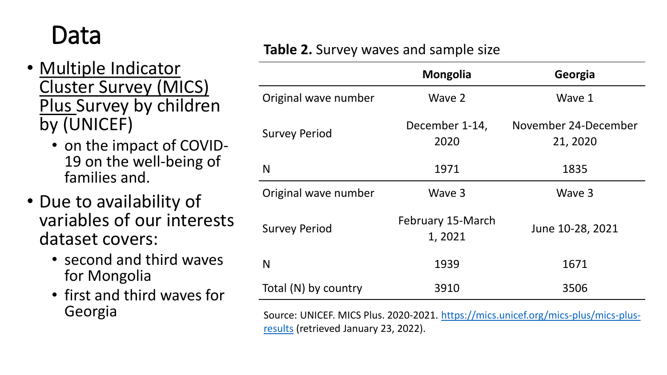## Data

- Multiple Indicator Cluster Survey (MICS) Plus Survey by children by (UNICEF)
	- on the impact of COVID-19 on the well-being of families and.
- Due to availability of variables of our interests dataset covers:
	- second and third waves for Mongolia
	- first and third waves for Georgia

| Table 2. Survey waves and sample size |  |
|---------------------------------------|--|
|---------------------------------------|--|

|                      | <b>Mongolia</b>             | Georgia                          |
|----------------------|-----------------------------|----------------------------------|
| Original wave number | Wave 2                      | Wave 1                           |
| <b>Survey Period</b> | December 1-14,<br>2020      | November 24-December<br>21, 2020 |
| N                    | 1971                        | 1835                             |
| Original wave number | Wave 3                      | Wave 3                           |
| <b>Survey Period</b> | February 15-March<br>1,2021 | June 10-28, 2021                 |
| N                    | 1939                        | 1671                             |
| Total (N) by country | 3910                        | 3506                             |

[Source: UNICEF. MICS Plus. 2020-2021. https://mics.unicef.org/mics-plus/mics-plus](https://mics.unicef.org/mics-plus/mics-plus-results)results (retrieved January 23, 2022).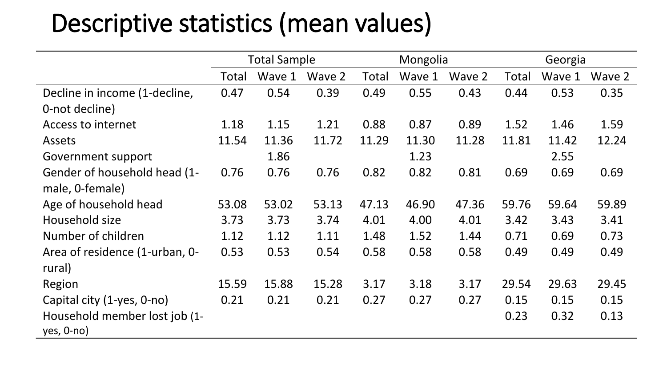## Descriptive statistics (mean values)

|                                | <b>Total Sample</b> |        |        | Mongolia |        | Georgia |       |        |        |
|--------------------------------|---------------------|--------|--------|----------|--------|---------|-------|--------|--------|
|                                | Total               | Wave 1 | Wave 2 | Total    | Wave 1 | Wave 2  | Total | Wave 1 | Wave 2 |
| Decline in income (1-decline,  | 0.47                | 0.54   | 0.39   | 0.49     | 0.55   | 0.43    | 0.44  | 0.53   | 0.35   |
| 0-not decline)                 |                     |        |        |          |        |         |       |        |        |
| Access to internet             | 1.18                | 1.15   | 1.21   | 0.88     | 0.87   | 0.89    | 1.52  | 1.46   | 1.59   |
| Assets                         | 11.54               | 11.36  | 11.72  | 11.29    | 11.30  | 11.28   | 11.81 | 11.42  | 12.24  |
| Government support             |                     | 1.86   |        |          | 1.23   |         |       | 2.55   |        |
| Gender of household head (1-   | 0.76                | 0.76   | 0.76   | 0.82     | 0.82   | 0.81    | 0.69  | 0.69   | 0.69   |
| male, 0-female)                |                     |        |        |          |        |         |       |        |        |
| Age of household head          | 53.08               | 53.02  | 53.13  | 47.13    | 46.90  | 47.36   | 59.76 | 59.64  | 59.89  |
| Household size                 | 3.73                | 3.73   | 3.74   | 4.01     | 4.00   | 4.01    | 3.42  | 3.43   | 3.41   |
| Number of children             | 1.12                | 1.12   | 1.11   | 1.48     | 1.52   | 1.44    | 0.71  | 0.69   | 0.73   |
| Area of residence (1-urban, 0- | 0.53                | 0.53   | 0.54   | 0.58     | 0.58   | 0.58    | 0.49  | 0.49   | 0.49   |
| rural)                         |                     |        |        |          |        |         |       |        |        |
| Region                         | 15.59               | 15.88  | 15.28  | 3.17     | 3.18   | 3.17    | 29.54 | 29.63  | 29.45  |
| Capital city (1-yes, 0-no)     | 0.21                | 0.21   | 0.21   | 0.27     | 0.27   | 0.27    | 0.15  | 0.15   | 0.15   |
| Household member lost job (1-  |                     |        |        |          |        |         | 0.23  | 0.32   | 0.13   |
| $yes, 0-no)$                   |                     |        |        |          |        |         |       |        |        |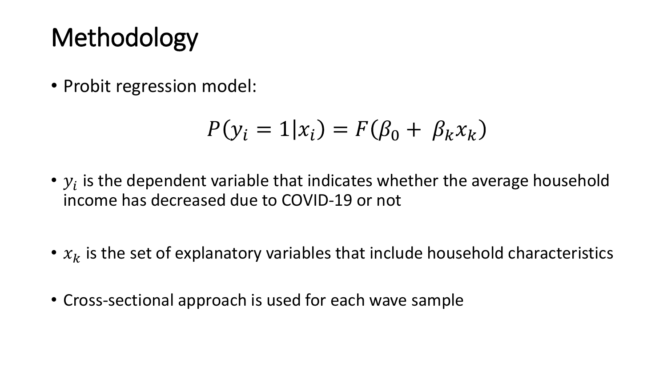## **Methodology**

• Probit regression model:

$$
P(y_i = 1 | x_i) = F(\beta_0 + \beta_k x_k)
$$

- $y_i$  is the dependent variable that indicates whether the average household income has decreased due to COVID-19 or not
- $x_k$  is the set of explanatory variables that include household characteristics
- Cross-sectional approach is used for each wave sample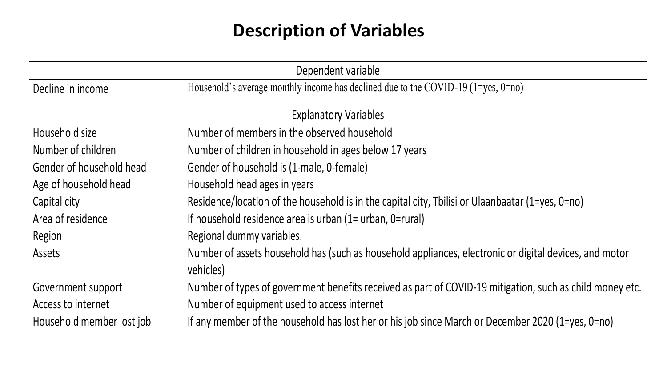#### **Description of Variables**

| Dependent variable           |                                                                                                                     |  |  |  |  |
|------------------------------|---------------------------------------------------------------------------------------------------------------------|--|--|--|--|
| Decline in income            | Household's average monthly income has declined due to the COVID-19 (1=yes, 0=no)                                   |  |  |  |  |
| <b>Explanatory Variables</b> |                                                                                                                     |  |  |  |  |
| Household size               | Number of members in the observed household                                                                         |  |  |  |  |
| Number of children           | Number of children in household in ages below 17 years                                                              |  |  |  |  |
| Gender of household head     | Gender of household is (1-male, 0-female)                                                                           |  |  |  |  |
| Age of household head        | Household head ages in years                                                                                        |  |  |  |  |
| Capital city                 | Residence/location of the household is in the capital city, Tbilisi or Ulaanbaatar (1=yes, 0=no)                    |  |  |  |  |
| Area of residence            | If household residence area is urban (1= urban, 0=rural)                                                            |  |  |  |  |
| Region                       | Regional dummy variables.                                                                                           |  |  |  |  |
| Assets                       | Number of assets household has (such as household appliances, electronic or digital devices, and motor<br>vehicles) |  |  |  |  |
| Government support           | Number of types of government benefits received as part of COVID-19 mitigation, such as child money etc.            |  |  |  |  |
| Access to internet           | Number of equipment used to access internet                                                                         |  |  |  |  |
| Household member lost job    | If any member of the household has lost her or his job since March or December 2020 (1=yes, 0=no)                   |  |  |  |  |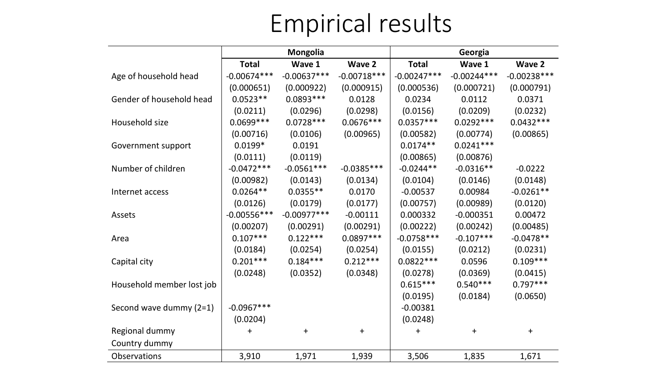## Empirical results

|                           | <b>Mongolia</b> |               |               | Georgia       |               |               |  |
|---------------------------|-----------------|---------------|---------------|---------------|---------------|---------------|--|
|                           | <b>Total</b>    | Wave 1        | Wave 2        | <b>Total</b>  | Wave 1        | <b>Wave 2</b> |  |
| Age of household head     | $-0.00674***$   | $-0.00637***$ | $-0.00718***$ | $-0.00247***$ | $-0.00244***$ | $-0.00238***$ |  |
|                           | (0.000651)      | (0.000922)    | (0.000915)    | (0.000536)    | (0.000721)    | (0.000791)    |  |
| Gender of household head  | $0.0523**$      | $0.0893***$   | 0.0128        | 0.0234        | 0.0112        | 0.0371        |  |
|                           | (0.0211)        | (0.0296)      | (0.0298)      | (0.0156)      | (0.0209)      | (0.0232)      |  |
| Household size            | $0.0699***$     | $0.0728***$   | $0.0676***$   | $0.0357***$   | $0.0292***$   | $0.0432***$   |  |
|                           | (0.00716)       | (0.0106)      | (0.00965)     | (0.00582)     | (0.00774)     | (0.00865)     |  |
| Government support        | $0.0199*$       | 0.0191        |               | $0.0174**$    | $0.0241***$   |               |  |
|                           | (0.0111)        | (0.0119)      |               | (0.00865)     | (0.00876)     |               |  |
| Number of children        | $-0.0472***$    | $-0.0561***$  | $-0.0385***$  | $-0.0244**$   | $-0.0316**$   | $-0.0222$     |  |
|                           | (0.00982)       | (0.0143)      | (0.0134)      | (0.0104)      | (0.0146)      | (0.0148)      |  |
| Internet access           | $0.0264**$      | $0.0355**$    | 0.0170        | $-0.00537$    | 0.00984       | $-0.0261**$   |  |
|                           | (0.0126)        | (0.0179)      | (0.0177)      | (0.00757)     | (0.00989)     | (0.0120)      |  |
| Assets                    | $-0.00556***$   | $-0.00977***$ | $-0.00111$    | 0.000332      | $-0.000351$   | 0.00472       |  |
|                           | (0.00207)       | (0.00291)     | (0.00291)     | (0.00222)     | (0.00242)     | (0.00485)     |  |
| Area                      | $0.107***$      | $0.122***$    | $0.0897***$   | $-0.0758***$  | $-0.107***$   | $-0.0478**$   |  |
|                           | (0.0184)        | (0.0254)      | (0.0254)      | (0.0155)      | (0.0212)      | (0.0231)      |  |
| Capital city              | $0.201***$      | $0.184***$    | $0.212***$    | $0.0822***$   | 0.0596        | $0.109***$    |  |
|                           | (0.0248)        | (0.0352)      | (0.0348)      | (0.0278)      | (0.0369)      | (0.0415)      |  |
| Household member lost job |                 |               |               | $0.615***$    | $0.540***$    | $0.797***$    |  |
|                           |                 |               |               | (0.0195)      | (0.0184)      | (0.0650)      |  |
| Second wave dummy $(2=1)$ | $-0.0967***$    |               |               | $-0.00381$    |               |               |  |
|                           | (0.0204)        |               |               | (0.0248)      |               |               |  |
| Regional dummy            | +               | $\ddag$       | $+$           | $\ddag$       | $\ddot{}$     | $\ddot{}$     |  |
| Country dummy             |                 |               |               |               |               |               |  |
| <b>Observations</b>       | 3,910           | 1,971         | 1,939         | 3,506         | 1,835         | 1,671         |  |